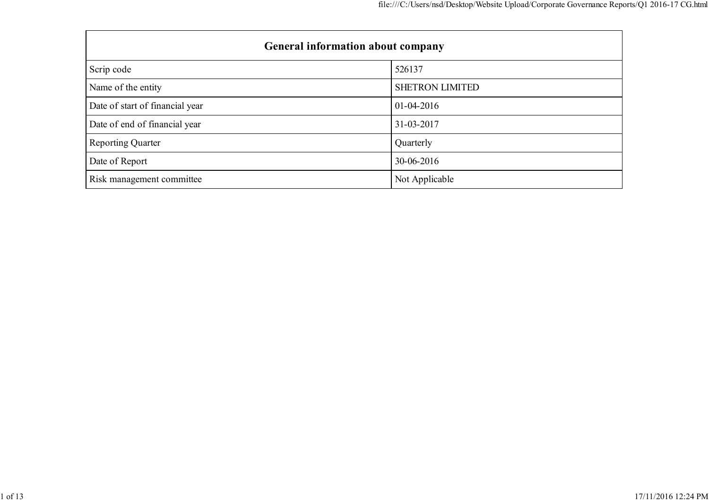| <b>General information about company</b> |                        |  |  |  |
|------------------------------------------|------------------------|--|--|--|
| Scrip code                               | 526137                 |  |  |  |
| Name of the entity                       | <b>SHETRON LIMITED</b> |  |  |  |
| Date of start of financial year          | $01-04-2016$           |  |  |  |
| Date of end of financial year            | 31-03-2017             |  |  |  |
| <b>Reporting Quarter</b>                 | Quarterly              |  |  |  |
| Date of Report                           | 30-06-2016             |  |  |  |
| Risk management committee                | Not Applicable         |  |  |  |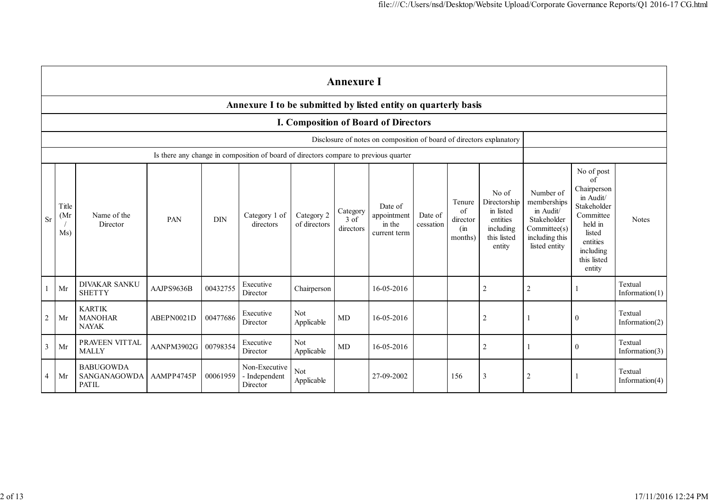|                | <b>Annexure I</b>   |                                                  |            |            |                                                                                      |                            |                               |                                                                      |                      |                                               |                                                                                      |                                                                                                         |                                                                                                                                                 |                              |
|----------------|---------------------|--------------------------------------------------|------------|------------|--------------------------------------------------------------------------------------|----------------------------|-------------------------------|----------------------------------------------------------------------|----------------------|-----------------------------------------------|--------------------------------------------------------------------------------------|---------------------------------------------------------------------------------------------------------|-------------------------------------------------------------------------------------------------------------------------------------------------|------------------------------|
|                |                     |                                                  |            |            | Annexure I to be submitted by listed entity on quarterly basis                       |                            |                               |                                                                      |                      |                                               |                                                                                      |                                                                                                         |                                                                                                                                                 |                              |
|                |                     |                                                  |            |            |                                                                                      |                            |                               | I. Composition of Board of Directors                                 |                      |                                               |                                                                                      |                                                                                                         |                                                                                                                                                 |                              |
|                |                     |                                                  |            |            |                                                                                      |                            |                               | Disclosure of notes on composition of board of directors explanatory |                      |                                               |                                                                                      |                                                                                                         |                                                                                                                                                 |                              |
|                |                     |                                                  |            |            | Is there any change in composition of board of directors compare to previous quarter |                            |                               |                                                                      |                      |                                               |                                                                                      |                                                                                                         |                                                                                                                                                 |                              |
| <b>Sr</b>      | Title<br>(Mr<br>Ms) | Name of the<br>Director                          | PAN        | <b>DIN</b> | Category 1 of<br>directors                                                           | Category 2<br>of directors | Category<br>3 of<br>directors | Date of<br>appointment<br>in the<br>current term                     | Date of<br>cessation | Tenure<br>of<br>director<br>$\sin$<br>months) | No of<br>Directorship<br>in listed<br>entities<br>including<br>this listed<br>entity | Number of<br>memberships<br>in Audit/<br>Stakeholder<br>Committee(s)<br>including this<br>listed entity | No of post<br>of<br>Chairperson<br>in Audit/<br>Stakeholder<br>Committee<br>held in<br>listed<br>entities<br>including<br>this listed<br>entity | <b>Notes</b>                 |
|                | Mr                  | <b>DIVAKAR SANKU</b><br><b>SHETTY</b>            | AAJPS9636B | 00432755   | Executive<br>Director                                                                | Chairperson                |                               | 16-05-2016                                                           |                      |                                               | $\overline{2}$                                                                       | $\sqrt{2}$                                                                                              |                                                                                                                                                 | Textual<br>Information $(1)$ |
| $\overline{2}$ | Mr                  | <b>KARTIK</b><br><b>MANOHAR</b><br><b>NAYAK</b>  | ABEPN0021D | 00477686   | Executive<br>Director                                                                | Not<br>Applicable          | MD                            | 16-05-2016                                                           |                      |                                               | $\overline{2}$                                                                       |                                                                                                         | $\overline{0}$                                                                                                                                  | Textual<br>Information $(2)$ |
| 3              | Mr                  | PRAVEEN VITTAL<br><b>MALLY</b>                   | AANPM3902G | 00798354   | Executive<br>Director                                                                | <b>Not</b><br>Applicable   | MD                            | 16-05-2016                                                           |                      |                                               | $\overline{c}$                                                                       |                                                                                                         | $\overline{0}$                                                                                                                                  | Textual<br>Information $(3)$ |
| 4              | Mr                  | <b>BABUGOWDA</b><br>SANGANAGOWDA<br><b>PATIL</b> | AAMPP4745P | 00061959   | Non-Executive<br>- Independent<br>Director                                           | Not<br>Applicable          |                               | 27-09-2002                                                           |                      | 156                                           | 3                                                                                    | $\overline{2}$                                                                                          |                                                                                                                                                 | Textual<br>Information $(4)$ |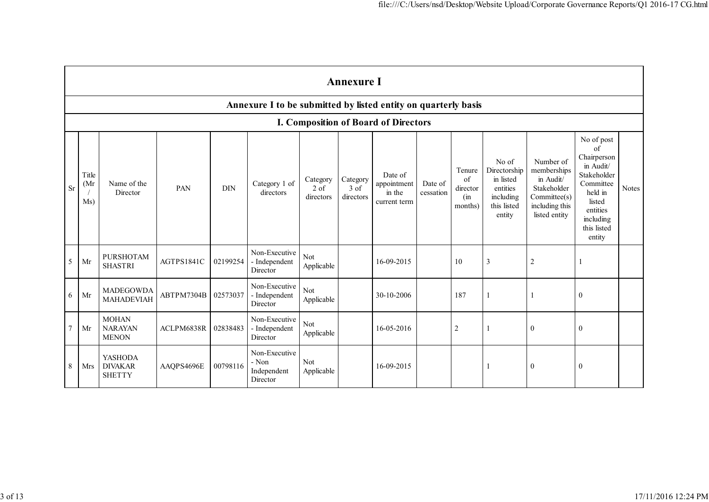|                 | <b>Annexure I</b>    |                                                |            |            |                                                                |                                          |                                 |                                                  |                      |                                                    |                                                                                      |                                                                                                        |                                                                                                                                                 |              |
|-----------------|----------------------|------------------------------------------------|------------|------------|----------------------------------------------------------------|------------------------------------------|---------------------------------|--------------------------------------------------|----------------------|----------------------------------------------------|--------------------------------------------------------------------------------------|--------------------------------------------------------------------------------------------------------|-------------------------------------------------------------------------------------------------------------------------------------------------|--------------|
|                 |                      |                                                |            |            | Annexure I to be submitted by listed entity on quarterly basis |                                          |                                 |                                                  |                      |                                                    |                                                                                      |                                                                                                        |                                                                                                                                                 |              |
|                 |                      |                                                |            |            |                                                                |                                          |                                 | I. Composition of Board of Directors             |                      |                                                    |                                                                                      |                                                                                                        |                                                                                                                                                 |              |
| <b>Sr</b>       | Title<br>(Mr)<br>Ms) | Name of the<br>Director                        | PAN        | <b>DIN</b> | Category 1 of<br>directors                                     | Category<br>$2 \text{ of }$<br>directors | Category<br>$3$ of<br>directors | Date of<br>appointment<br>in the<br>current term | Date of<br>cessation | Tenure<br>$\sigma$ f<br>director<br>(in<br>months) | No of<br>Directorship<br>in listed<br>entities<br>including<br>this listed<br>entity | Number of<br>memberships<br>in Audit/<br>Stakeholder<br>Commitee(s)<br>including this<br>listed entity | No of post<br>of<br>Chairperson<br>in Audit/<br>Stakeholder<br>Committee<br>held in<br>listed<br>entities<br>including<br>this listed<br>entity | <b>Notes</b> |
| 5               | Mr                   | <b>PURSHOTAM</b><br><b>SHASTRI</b>             | AGTPS1841C | 02199254   | Non-Executive<br>- Independent<br>Director                     | Not<br>Applicable                        |                                 | 16-09-2015                                       |                      | 10                                                 | 3                                                                                    | $\overline{c}$                                                                                         |                                                                                                                                                 |              |
| 6               | Mr                   | <b>MADEGOWDA</b><br>MAHADEVIAH                 | ABTPM7304B | 02573037   | Non-Executive<br>- Independent<br>Director                     | Not<br>Applicable                        |                                 | 30-10-2006                                       |                      | 187                                                |                                                                                      |                                                                                                        | $\mathbf{0}$                                                                                                                                    |              |
| $7\phantom{.0}$ | Mr                   | <b>MOHAN</b><br><b>NARAYAN</b><br><b>MENON</b> | ACLPM6838R | 02838483   | Non-Executive<br>- Independent<br>Director                     | Not<br>Applicable                        |                                 | 16-05-2016                                       |                      | $\overline{2}$                                     |                                                                                      | $\theta$                                                                                               | $\mathbf{0}$                                                                                                                                    |              |
| 8               | Mrs                  | YASHODA<br><b>DIVAKAR</b><br><b>SHETTY</b>     | AAQPS4696E | 00798116   | Non-Executive<br>- Non<br>Independent<br>Director              | Not<br>Applicable                        |                                 | 16-09-2015                                       |                      |                                                    |                                                                                      | $\mathbf{0}$                                                                                           | $\boldsymbol{0}$                                                                                                                                |              |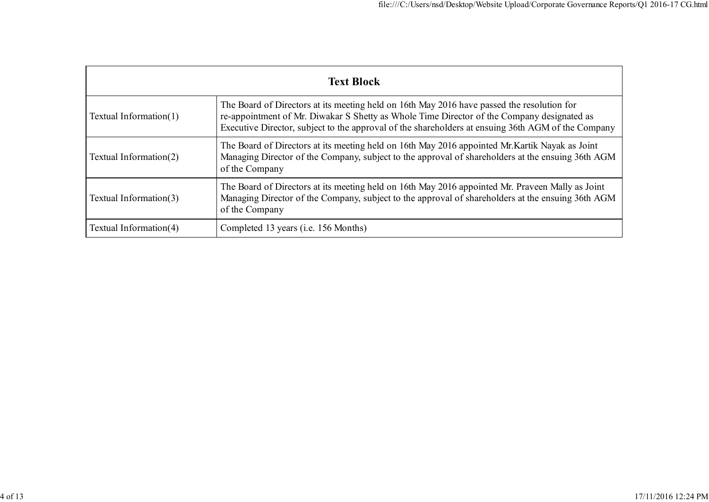| <b>Text Block</b>         |                                                                                                                                                                                                                                                                                                |  |  |  |  |
|---------------------------|------------------------------------------------------------------------------------------------------------------------------------------------------------------------------------------------------------------------------------------------------------------------------------------------|--|--|--|--|
| Textual Information $(1)$ | The Board of Directors at its meeting held on 16th May 2016 have passed the resolution for<br>re-appointment of Mr. Diwakar S Shetty as Whole Time Director of the Company designated as<br>Executive Director, subject to the approval of the shareholders at ensuing 36th AGM of the Company |  |  |  |  |
| Textual Information(2)    | The Board of Directors at its meeting held on 16th May 2016 appointed Mr. Kartik Nayak as Joint<br>Managing Director of the Company, subject to the approval of shareholders at the ensuing 36th AGM<br>of the Company                                                                         |  |  |  |  |
| Textual Information(3)    | The Board of Directors at its meeting held on 16th May 2016 appointed Mr. Praveen Mally as Joint<br>Managing Director of the Company, subject to the approval of shareholders at the ensuing 36th AGM<br>of the Company                                                                        |  |  |  |  |
| Textual Information(4)    | Completed 13 years ( <i>i.e.</i> 156 Months)                                                                                                                                                                                                                                                   |  |  |  |  |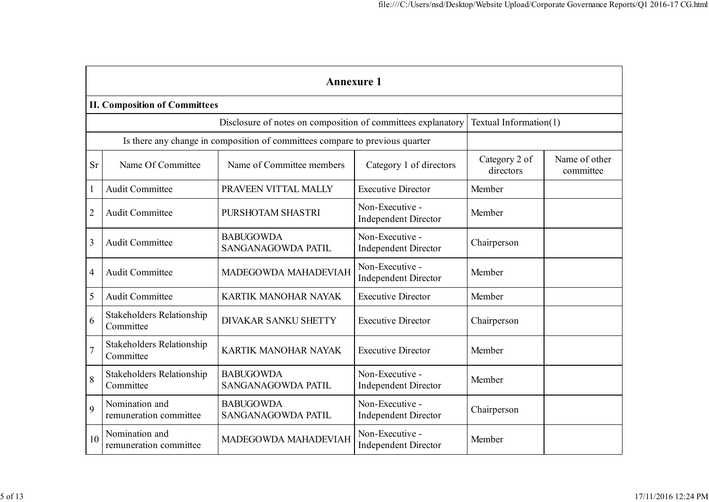|                         | <b>Annexure 1</b>                                                                      |                                                                              |                                                |                            |                            |  |  |  |
|-------------------------|----------------------------------------------------------------------------------------|------------------------------------------------------------------------------|------------------------------------------------|----------------------------|----------------------------|--|--|--|
|                         | <b>II. Composition of Committees</b>                                                   |                                                                              |                                                |                            |                            |  |  |  |
|                         | Disclosure of notes on composition of committees explanatory<br>Textual Information(1) |                                                                              |                                                |                            |                            |  |  |  |
|                         |                                                                                        | Is there any change in composition of committees compare to previous quarter |                                                |                            |                            |  |  |  |
| <b>Sr</b>               | Name Of Committee                                                                      | Name of Committee members                                                    | Category 1 of directors                        | Category 2 of<br>directors | Name of other<br>committee |  |  |  |
|                         | <b>Audit Committee</b>                                                                 | PRAVEEN VITTAL MALLY                                                         | <b>Executive Director</b>                      | Member                     |                            |  |  |  |
| $\overline{2}$          | <b>Audit Committee</b>                                                                 | PURSHOTAM SHASTRI                                                            | Non-Executive -<br><b>Independent Director</b> | Member                     |                            |  |  |  |
| $\overline{\mathbf{3}}$ | <b>Audit Committee</b>                                                                 | <b>BABUGOWDA</b><br>SANGANAGOWDA PATIL                                       | Non-Executive -<br><b>Independent Director</b> | Chairperson                |                            |  |  |  |
| $\overline{4}$          | <b>Audit Committee</b>                                                                 | MADEGOWDA MAHADEVIAH                                                         | Non-Executive -<br><b>Independent Director</b> | Member                     |                            |  |  |  |
| 5                       | Audit Committee                                                                        | KARTIK MANOHAR NAYAK                                                         | <b>Executive Director</b>                      | Member                     |                            |  |  |  |
| 6                       | <b>Stakeholders Relationship</b><br>Committee                                          | DIVAKAR SANKU SHETTY                                                         | <b>Executive Director</b>                      | Chairperson                |                            |  |  |  |
| $\overline{7}$          | <b>Stakeholders Relationship</b><br>Committee                                          | <b>KARTIK MANOHAR NAYAK</b>                                                  | <b>Executive Director</b>                      | Member                     |                            |  |  |  |
| 8                       | <b>Stakeholders Relationship</b><br>Committee                                          | <b>BABUGOWDA</b><br>SANGANAGOWDA PATIL                                       | Non-Executive -<br><b>Independent Director</b> | Member                     |                            |  |  |  |
| 9                       | Nomination and<br>remuneration committee                                               | <b>BABUGOWDA</b><br>SANGANAGOWDA PATIL                                       | Non-Executive -<br><b>Independent Director</b> | Chairperson                |                            |  |  |  |
| 10                      | Nomination and<br>remuneration committee                                               | MADEGOWDA MAHADEVIAH                                                         | Non-Executive -<br><b>Independent Director</b> | Member                     |                            |  |  |  |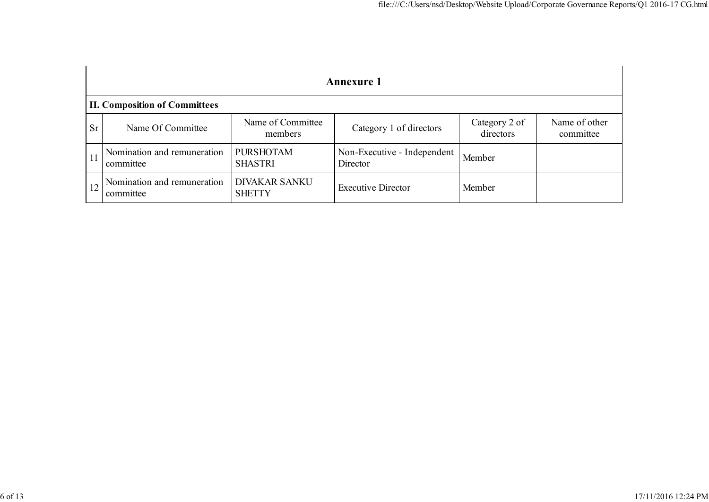|               | <b>Annexure 1</b>                        |                                       |                                         |                            |                            |  |  |
|---------------|------------------------------------------|---------------------------------------|-----------------------------------------|----------------------------|----------------------------|--|--|
|               | <b>II. Composition of Committees</b>     |                                       |                                         |                            |                            |  |  |
| <b>Sr</b>     | Name Of Committee                        | Name of Committee<br>members          | Category 1 of directors                 | Category 2 of<br>directors | Name of other<br>committee |  |  |
| <sup>11</sup> | Nomination and remuneration<br>committee | <b>PURSHOTAM</b><br><b>SHASTRI</b>    | Non-Executive - Independent<br>Director | Member                     |                            |  |  |
|               | Nomination and remuneration<br>committee | <b>DIVAKAR SANKU</b><br><b>SHETTY</b> | <b>Executive Director</b>               | Member                     |                            |  |  |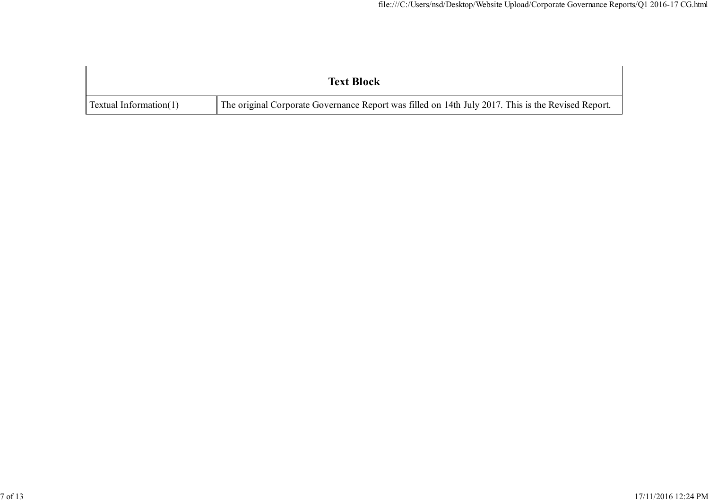|                        | <b>Text Block</b>                                                                                  |
|------------------------|----------------------------------------------------------------------------------------------------|
| Textual Information(1) | The original Corporate Governance Report was filled on 14th July 2017. This is the Revised Report. |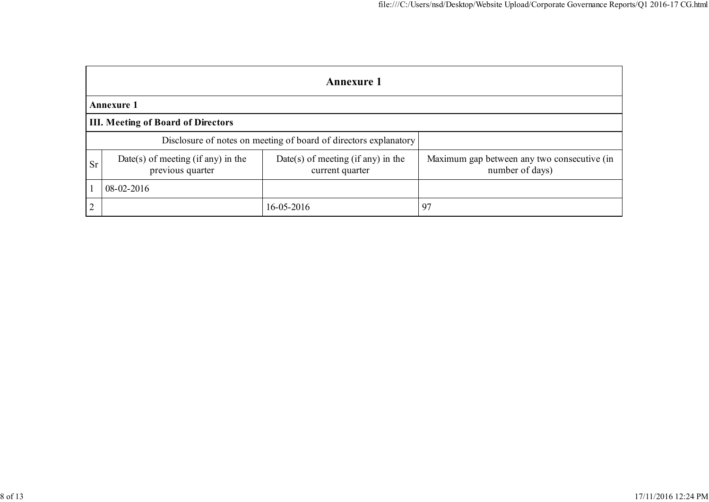|                | <b>Annexure 1</b>                                      |                                                                  |                                                                |  |  |  |
|----------------|--------------------------------------------------------|------------------------------------------------------------------|----------------------------------------------------------------|--|--|--|
|                | <b>Annexure 1</b>                                      |                                                                  |                                                                |  |  |  |
|                | <b>III. Meeting of Board of Directors</b>              |                                                                  |                                                                |  |  |  |
|                |                                                        | Disclosure of notes on meeting of board of directors explanatory |                                                                |  |  |  |
| <b>Sr</b>      | Date(s) of meeting (if any) in the<br>previous quarter | Date(s) of meeting (if any) in the<br>current quarter            | Maximum gap between any two consecutive (in<br>number of days) |  |  |  |
|                | 08-02-2016                                             |                                                                  |                                                                |  |  |  |
| $\overline{2}$ |                                                        | $16 - 05 - 2016$                                                 | 97                                                             |  |  |  |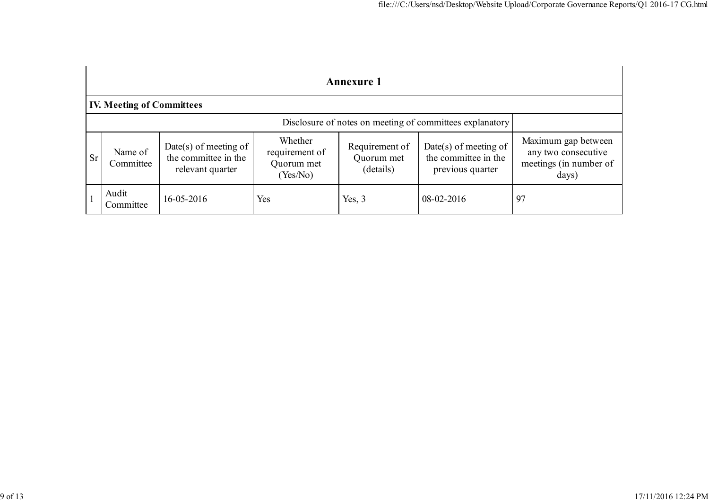|           | <b>Annexure 1</b>                                        |                                                                   |                                                     |                                           |                                                                   |                                                                               |  |
|-----------|----------------------------------------------------------|-------------------------------------------------------------------|-----------------------------------------------------|-------------------------------------------|-------------------------------------------------------------------|-------------------------------------------------------------------------------|--|
|           | <b>IV. Meeting of Committees</b>                         |                                                                   |                                                     |                                           |                                                                   |                                                                               |  |
|           | Disclosure of notes on meeting of committees explanatory |                                                                   |                                                     |                                           |                                                                   |                                                                               |  |
| <b>Sr</b> | Name of<br>Committee                                     | Date(s) of meeting of<br>the committee in the<br>relevant quarter | Whether<br>requirement of<br>Quorum met<br>(Yes/No) | Requirement of<br>Quorum met<br>(details) | Date(s) of meeting of<br>the committee in the<br>previous quarter | Maximum gap between<br>any two consecutive<br>meetings (in number of<br>days) |  |
|           | Audit<br>Committee                                       | 16-05-2016                                                        | Yes                                                 | Yes, $3$                                  | 08-02-2016                                                        | 97                                                                            |  |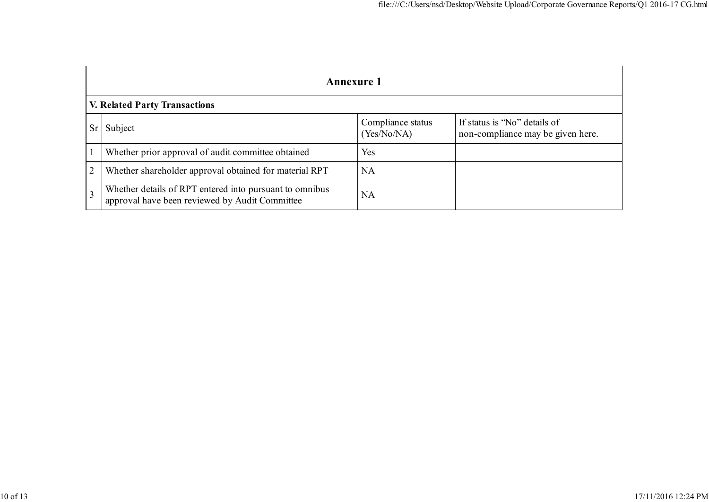|   | <b>Annexure 1</b>                                                                                         |                                  |                                                                   |  |  |  |
|---|-----------------------------------------------------------------------------------------------------------|----------------------------------|-------------------------------------------------------------------|--|--|--|
|   | <b>V. Related Party Transactions</b>                                                                      |                                  |                                                                   |  |  |  |
|   | Subject                                                                                                   | Compliance status<br>(Yes/No/NA) | If status is "No" details of<br>non-compliance may be given here. |  |  |  |
|   | Whether prior approval of audit committee obtained                                                        | Yes                              |                                                                   |  |  |  |
| 2 | Whether shareholder approval obtained for material RPT                                                    | <b>NA</b>                        |                                                                   |  |  |  |
|   | Whether details of RPT entered into pursuant to omnibus<br>approval have been reviewed by Audit Committee | <b>NA</b>                        |                                                                   |  |  |  |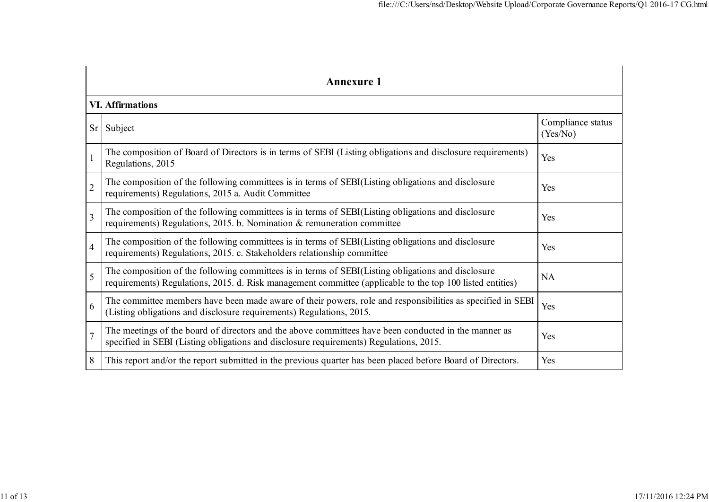|                | Annexure 1                                                                                                                                                                                                      |                               |  |  |  |  |  |
|----------------|-----------------------------------------------------------------------------------------------------------------------------------------------------------------------------------------------------------------|-------------------------------|--|--|--|--|--|
|                | <b>VI. Affirmations</b>                                                                                                                                                                                         |                               |  |  |  |  |  |
| Sr             | Subject                                                                                                                                                                                                         | Compliance status<br>(Yes/No) |  |  |  |  |  |
|                | The composition of Board of Directors is in terms of SEBI (Listing obligations and disclosure requirements)<br>Regulations, 2015                                                                                | Yes                           |  |  |  |  |  |
| $\overline{2}$ | The composition of the following committees is in terms of SEBI(Listing obligations and disclosure<br>requirements) Regulations, 2015 a. Audit Committee                                                        | Yes                           |  |  |  |  |  |
| $\overline{3}$ | The composition of the following committees is in terms of SEBI(Listing obligations and disclosure<br>requirements) Regulations, 2015. b. Nomination & remuneration committee                                   | Yes                           |  |  |  |  |  |
| $\overline{4}$ | The composition of the following committees is in terms of SEBI(Listing obligations and disclosure<br>requirements) Regulations, 2015. c. Stakeholders relationship committee                                   | Yes                           |  |  |  |  |  |
| 5              | The composition of the following committees is in terms of SEBI(Listing obligations and disclosure<br>requirements) Regulations, 2015. d. Risk management committee (applicable to the top 100 listed entities) | <b>NA</b>                     |  |  |  |  |  |
| 6              | The committee members have been made aware of their powers, role and responsibilities as specified in SEBI<br>(Listing obligations and disclosure requirements) Regulations, 2015.                              | Yes                           |  |  |  |  |  |
| $\overline{7}$ | The meetings of the board of directors and the above committees have been conducted in the manner as<br>specified in SEBI (Listing obligations and disclosure requirements) Regulations, 2015.                  | Yes                           |  |  |  |  |  |
| 8              | This report and/or the report submitted in the previous quarter has been placed before Board of Directors.                                                                                                      | Yes                           |  |  |  |  |  |